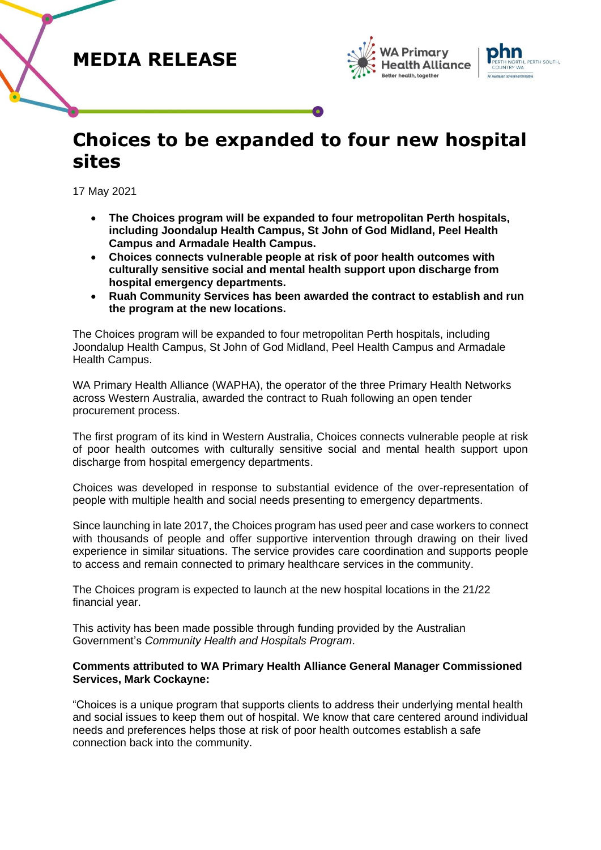### **MEDIA RELEASE**





# **Choices to be expanded to four new hospital sites**

17 May 2021

- **The Choices program will be expanded to four metropolitan Perth hospitals, including Joondalup Health Campus, St John of God Midland, Peel Health Campus and Armadale Health Campus.**
- **Choices connects vulnerable people at risk of poor health outcomes with culturally sensitive social and mental health support upon discharge from hospital emergency departments.**
- **Ruah Community Services has been awarded the contract to establish and run the program at the new locations.**

The Choices program will be expanded to four metropolitan Perth hospitals, including Joondalup Health Campus, St John of God Midland, Peel Health Campus and Armadale Health Campus.

WA Primary Health Alliance (WAPHA), the operator of the three Primary Health Networks across Western Australia, awarded the contract to Ruah following an open tender procurement process.

The first program of its kind in Western Australia, Choices connects vulnerable people at risk of poor health outcomes with culturally sensitive social and mental health support upon discharge from hospital emergency departments.

Choices was developed in response to substantial evidence of the over-representation of people with multiple health and social needs presenting to emergency departments.

Since launching in late 2017, the Choices program has used peer and case workers to connect with thousands of people and offer supportive intervention through drawing on their lived experience in similar situations. The service provides care coordination and supports people to access and remain connected to primary healthcare services in the community.

The Choices program is expected to launch at the new hospital locations in the 21/22 financial year.

This activity has been made possible through funding provided by the Australian Government's *Community Health and Hospitals Program*.

### **Comments attributed to WA Primary Health Alliance General Manager Commissioned Services, Mark Cockayne:**

"Choices is a unique program that supports clients to address their underlying mental health and social issues to keep them out of hospital. We know that care centered around individual needs and preferences helps those at risk of poor health outcomes establish a safe connection back into the community.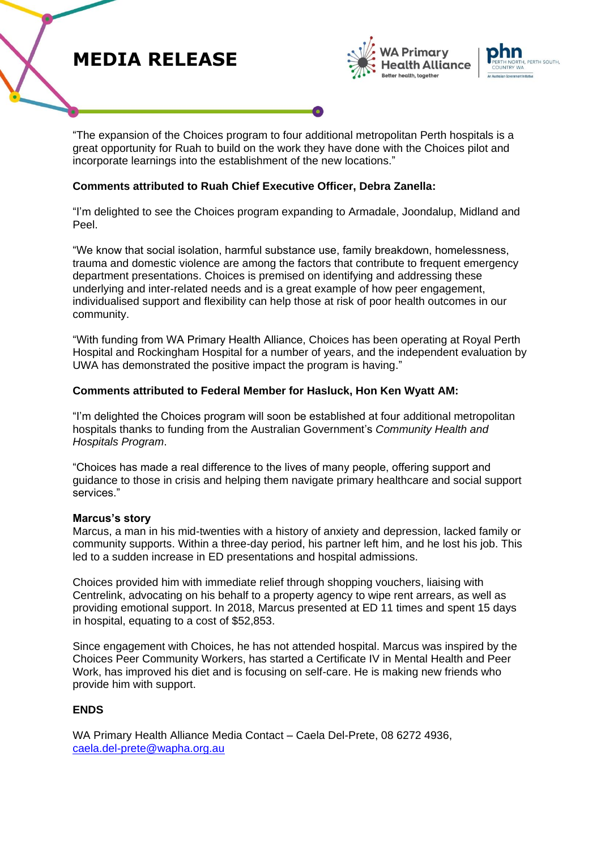# **MEDIA RELEASE**





"The expansion of the Choices program to four additional metropolitan Perth hospitals is a great opportunity for Ruah to build on the work they have done with the Choices pilot and incorporate learnings into the establishment of the new locations."

### **Comments attributed to Ruah Chief Executive Officer, Debra Zanella:**

"I'm delighted to see the Choices program expanding to Armadale, Joondalup, Midland and Peel.

"We know that social isolation, harmful substance use, family breakdown, homelessness, trauma and domestic violence are among the factors that contribute to frequent emergency department presentations. Choices is premised on identifying and addressing these underlying and inter-related needs and is a great example of how peer engagement, individualised support and flexibility can help those at risk of poor health outcomes in our community.

"With funding from WA Primary Health Alliance, Choices has been operating at Royal Perth Hospital and Rockingham Hospital for a number of years, and the independent evaluation by UWA has demonstrated the positive impact the program is having."

#### **Comments attributed to Federal Member for Hasluck, Hon Ken Wyatt AM:**

"I'm delighted the Choices program will soon be established at four additional metropolitan hospitals thanks to funding from the Australian Government's *Community Health and Hospitals Program*.

"Choices has made a real difference to the lives of many people, offering support and guidance to those in crisis and helping them navigate primary healthcare and social support services."

#### **Marcus's story**

Marcus, a man in his mid-twenties with a history of anxiety and depression, lacked family or community supports. Within a three-day period, his partner left him, and he lost his job. This led to a sudden increase in ED presentations and hospital admissions.

Choices provided him with immediate relief through shopping vouchers, liaising with Centrelink, advocating on his behalf to a property agency to wipe rent arrears, as well as providing emotional support. In 2018, Marcus presented at ED 11 times and spent 15 days in hospital, equating to a cost of \$52,853.

Since engagement with Choices, he has not attended hospital. Marcus was inspired by the Choices Peer Community Workers, has started a Certificate IV in Mental Health and Peer Work, has improved his diet and is focusing on self-care. He is making new friends who provide him with support.

### **ENDS**

WA Primary Health Alliance Media Contact – Caela Del-Prete, 08 6272 4936, [caela.del-prete@wapha.org.au](mailto:caela.del-prete@wapha.org.au)